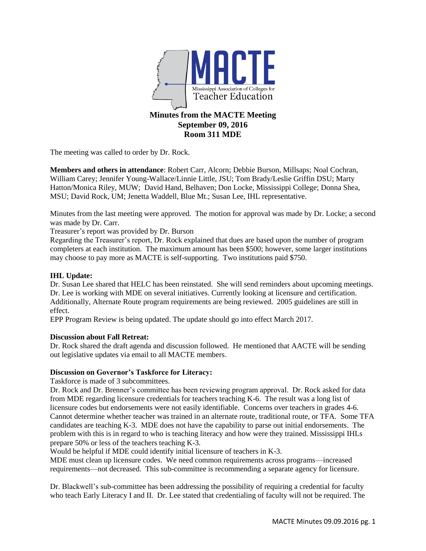

The meeting was called to order by Dr. Rock.

**Members and others in attendance**: Robert Carr, Alcorn; Debbie Burson, Millsaps; Noal Cochran, William Carey; Jennifer Young-Wallace/Linnie Little, JSU; Tom Brady/Leslie Griffin DSU; Marty Hatton/Monica Riley, MUW; David Hand, Belhaven; Don Locke, Mississippi College; Donna Shea, MSU; David Rock, UM; Jenetta Waddell, Blue Mt.; Susan Lee, IHL representative.

Minutes from the last meeting were approved. The motion for approval was made by Dr. Locke; a second was made by Dr. Carr.

Treasurer's report was provided by Dr. Burson

Regarding the Treasurer's report, Dr. Rock explained that dues are based upon the number of program completers at each institution. The maximum amount has been \$500; however, some larger institutions may choose to pay more as MACTE is self-supporting. Two institutions paid \$750.

# **IHL Update:**

Dr. Susan Lee shared that HELC has been reinstated. She will send reminders about upcoming meetings. Dr. Lee is working with MDE on several initiatives. Currently looking at licensure and certification. Additionally, Alternate Route program requirements are being reviewed. 2005 guidelines are still in effect.

EPP Program Review is being updated. The update should go into effect March 2017.

## **Discussion about Fall Retreat:**

Dr. Rock shared the draft agenda and discussion followed. He mentioned that AACTE will be sending out legislative updates via email to all MACTE members.

## **Discussion on Governor's Taskforce for Literacy:**

Taskforce is made of 3 subcommittees.

Dr. Rock and Dr. Brenner's committee has been reviewing program approval. Dr. Rock asked for data from MDE regarding licensure credentials for teachers teaching K-6. The result was a long list of licensure codes but endorsements were not easily identifiable. Concerns over teachers in grades 4-6. Cannot determine whether teacher was trained in an alternate route, traditional route, or TFA. Some TFA candidates are teaching K-3. MDE does not have the capability to parse out initial endorsements. The problem with this is in regard to who is teaching literacy and how were they trained. Mississippi IHLs prepare 50% or less of the teachers teaching K-3.

Would be helpful if MDE could identify initial licensure of teachers in K-3.

MDE must clean up licensure codes. We need common requirements across programs—increased requirements—not decreased. This sub-committee is recommending a separate agency for licensure.

Dr. Blackwell's sub-committee has been addressing the possibility of requiring a credential for faculty who teach Early Literacy I and II. Dr. Lee stated that credentialing of faculty will not be required. The